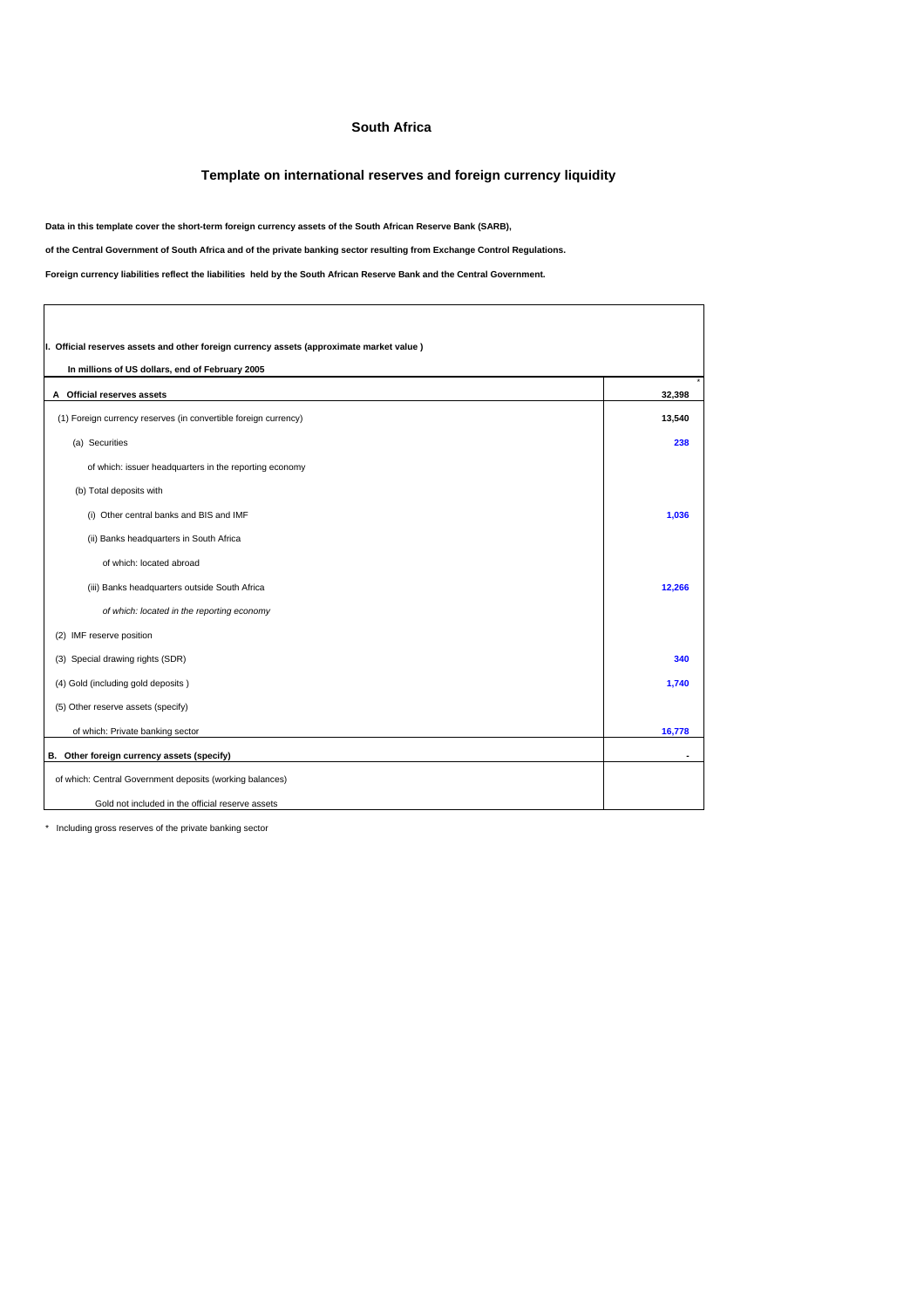## **South Africa**

## **Template on international reserves and foreign currency liquidity**

**Data in this template cover the short-term foreign currency assets of the South African Reserve Bank (SARB),** 

**of the Central Government of South Africa and of the private banking sector resulting from Exchange Control Regulations.**

**Foreign currency liabilities reflect the liabilities held by the South African Reserve Bank and the Central Government.**

| I. Official reserves assets and other foreign currency assets (approximate market value) |        |  |  |
|------------------------------------------------------------------------------------------|--------|--|--|
| In millions of US dollars, end of February 2005                                          |        |  |  |
| A Official reserves assets                                                               | 32,398 |  |  |
| (1) Foreign currency reserves (in convertible foreign currency)                          | 13,540 |  |  |
| (a) Securities                                                                           | 238    |  |  |
| of which: issuer headquarters in the reporting economy                                   |        |  |  |
| (b) Total deposits with                                                                  |        |  |  |
| (i) Other central banks and BIS and IMF                                                  | 1,036  |  |  |
| (ii) Banks headquarters in South Africa                                                  |        |  |  |
| of which: located abroad                                                                 |        |  |  |
| (iii) Banks headquarters outside South Africa                                            | 12.266 |  |  |
| of which: located in the reporting economy                                               |        |  |  |
| (2) IMF reserve position                                                                 |        |  |  |
| (3) Special drawing rights (SDR)                                                         | 340    |  |  |
| (4) Gold (including gold deposits)                                                       | 1,740  |  |  |
| (5) Other reserve assets (specify)                                                       |        |  |  |
| of which: Private banking sector                                                         | 16,778 |  |  |
| B. Other foreign currency assets (specify)                                               |        |  |  |
| of which: Central Government deposits (working balances)                                 |        |  |  |
| Gold not included in the official reserve assets                                         |        |  |  |

\* Including gross reserves of the private banking sector

 $\Gamma$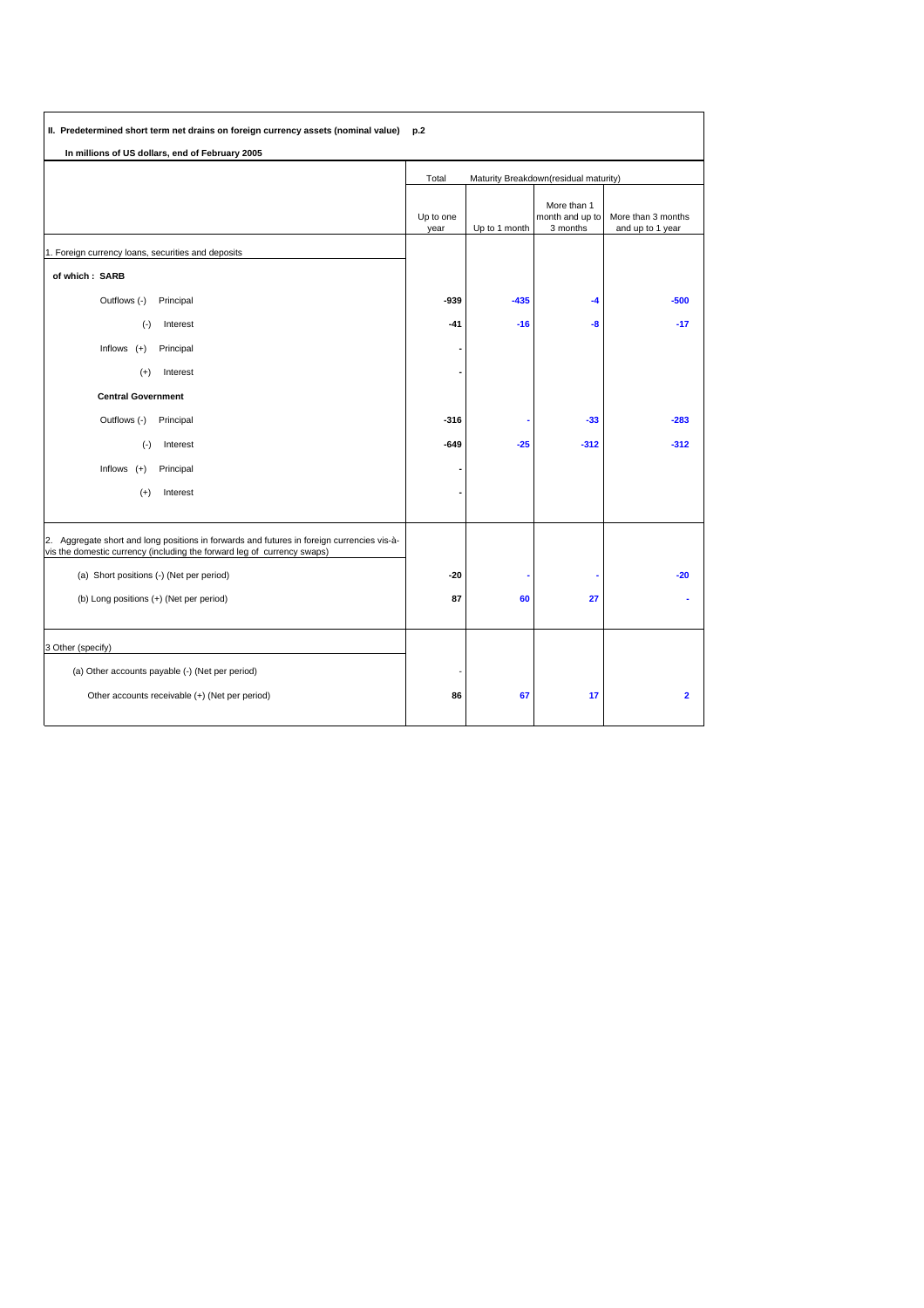| II. Predetermined short term net drains on foreign currency assets (nominal value) p.2                                                                                |                                                |               |                                            |                                        |
|-----------------------------------------------------------------------------------------------------------------------------------------------------------------------|------------------------------------------------|---------------|--------------------------------------------|----------------------------------------|
| In millions of US dollars, end of February 2005                                                                                                                       |                                                |               |                                            |                                        |
|                                                                                                                                                                       | Maturity Breakdown(residual maturity)<br>Total |               |                                            |                                        |
|                                                                                                                                                                       | Up to one<br>year                              | Up to 1 month | More than 1<br>month and up to<br>3 months | More than 3 months<br>and up to 1 year |
| 1. Foreign currency loans, securities and deposits                                                                                                                    |                                                |               |                                            |                                        |
| of which: SARB                                                                                                                                                        |                                                |               |                                            |                                        |
| Outflows (-)<br>Principal                                                                                                                                             | -939                                           | $-435$        | $-4$                                       | $-500$                                 |
| Interest<br>$(\cdot)$                                                                                                                                                 | $-41$                                          | $-16$         | -8                                         | $-17$                                  |
| Inflows $(+)$<br>Principal                                                                                                                                            |                                                |               |                                            |                                        |
| Interest<br>$^{(+)}$                                                                                                                                                  |                                                |               |                                            |                                        |
| <b>Central Government</b>                                                                                                                                             |                                                |               |                                            |                                        |
| Outflows (-)<br>Principal                                                                                                                                             | $-316$                                         |               | $-33$                                      | $-283$                                 |
| $(\cdot)$<br>Interest                                                                                                                                                 | $-649$                                         | $-25$         | $-312$                                     | $-312$                                 |
| Inflows $(+)$<br>Principal                                                                                                                                            |                                                |               |                                            |                                        |
| $(+)$<br>Interest                                                                                                                                                     |                                                |               |                                            |                                        |
| 2. Aggregate short and long positions in forwards and futures in foreign currencies vis-à-<br>vis the domestic currency (including the forward leg of currency swaps) |                                                |               |                                            |                                        |
| (a) Short positions (-) (Net per period)                                                                                                                              | $-20$                                          |               |                                            | $-20$                                  |
| (b) Long positions (+) (Net per period)                                                                                                                               | 87                                             | 60            | 27                                         |                                        |
| 3 Other (specify)                                                                                                                                                     |                                                |               |                                            |                                        |
| (a) Other accounts payable (-) (Net per period)                                                                                                                       |                                                |               |                                            |                                        |
| Other accounts receivable (+) (Net per period)                                                                                                                        | 86                                             | 67            | 17                                         | $\overline{\mathbf{2}}$                |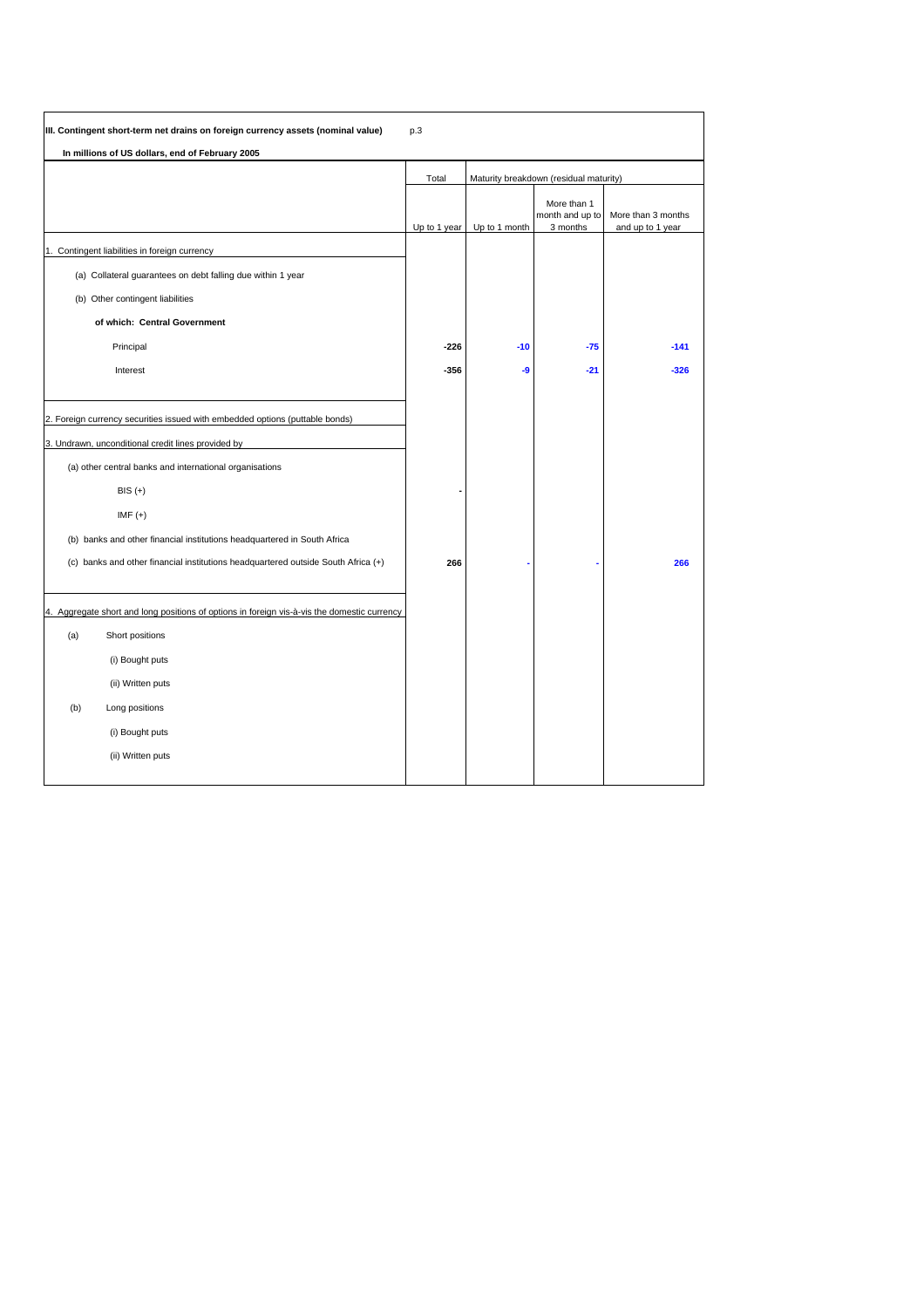|     | III. Contingent short-term net drains on foreign currency assets (nominal value)            | p.3          |                                        |                                            |                                        |
|-----|---------------------------------------------------------------------------------------------|--------------|----------------------------------------|--------------------------------------------|----------------------------------------|
|     | In millions of US dollars, end of February 2005                                             |              |                                        |                                            |                                        |
|     |                                                                                             | Total        | Maturity breakdown (residual maturity) |                                            |                                        |
|     |                                                                                             | Up to 1 year | Up to 1 month                          | More than 1<br>month and up to<br>3 months | More than 3 months<br>and up to 1 year |
|     | 1. Contingent liabilities in foreign currency                                               |              |                                        |                                            |                                        |
|     | (a) Collateral guarantees on debt falling due within 1 year                                 |              |                                        |                                            |                                        |
|     | (b) Other contingent liabilities                                                            |              |                                        |                                            |                                        |
|     | of which: Central Government                                                                |              |                                        |                                            |                                        |
|     | Principal                                                                                   | $-226$       | $-10$                                  | $-75$                                      | $-141$                                 |
|     | Interest                                                                                    | $-356$       | -9                                     | $-21$                                      | $-326$                                 |
|     |                                                                                             |              |                                        |                                            |                                        |
|     | 2. Foreign currency securities issued with embedded options (puttable bonds)                |              |                                        |                                            |                                        |
|     | 3. Undrawn, unconditional credit lines provided by                                          |              |                                        |                                            |                                        |
|     | (a) other central banks and international organisations                                     |              |                                        |                                            |                                        |
|     | $BIS (+)$                                                                                   |              |                                        |                                            |                                        |
|     | $IMF (+)$                                                                                   |              |                                        |                                            |                                        |
|     | (b) banks and other financial institutions headquartered in South Africa                    |              |                                        |                                            |                                        |
|     | (c) banks and other financial institutions headquartered outside South Africa (+)           | 266          |                                        |                                            | 266                                    |
|     |                                                                                             |              |                                        |                                            |                                        |
|     | 4. Aggregate short and long positions of options in foreign vis-à-vis the domestic currency |              |                                        |                                            |                                        |
| (a) | Short positions                                                                             |              |                                        |                                            |                                        |
|     | (i) Bought puts                                                                             |              |                                        |                                            |                                        |
|     | (ii) Written puts                                                                           |              |                                        |                                            |                                        |
| (b) | Long positions                                                                              |              |                                        |                                            |                                        |
|     | (i) Bought puts                                                                             |              |                                        |                                            |                                        |
|     | (ii) Written puts                                                                           |              |                                        |                                            |                                        |
|     |                                                                                             |              |                                        |                                            |                                        |